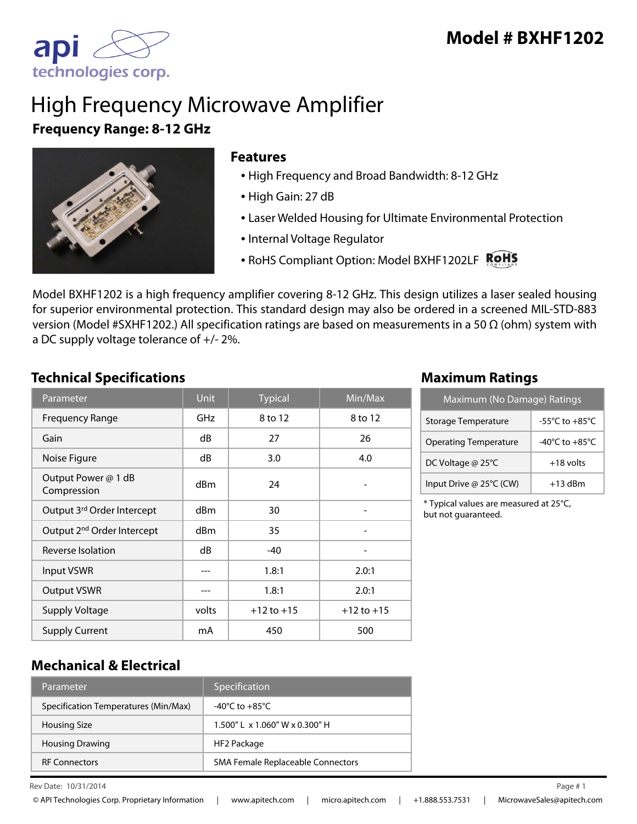

# High Frequency Microwave Amplifier **Frequency Range: 8-12 GHz**



### **Features**

- High Frequency and Broad Bandwidth: 8-12 GHz
- High Gain: 27 dB
- Laser Welded Housing for Ultimate Environmental Protection
- Internal Voltage Regulator
- RoHS Compliant Option: Model BXHF1202LF

Model BXHF1202 is a high frequency amplifier covering 8-12 GHz. This design utilizes a laser sealed housing for superior environmental protection. This standard design may also be ordered in a screened MIL-STD-883 version (Model #SXHF1202.) All specification ratings are based on measurements in a 50 Ω (ohm) system with a DC supply voltage tolerance of +/- 2%.

## **Technical Specifications Maximum Ratings**

| Parameter                              | <b>Unit</b> | <b>Typical</b> | $\overline{\textsf{Min}/\textsf{Max}}$ |
|----------------------------------------|-------------|----------------|----------------------------------------|
| <b>Frequency Range</b>                 | GHz         | 8 to 12        | 8 to 12                                |
| Gain                                   | dB          | 27             | 26                                     |
| Noise Figure                           | dB          | 3.0            | 4.0                                    |
| Output Power @ 1 dB<br>Compression     | dBm         | 24             |                                        |
| Output 3rd Order Intercept             | dBm         | 30             |                                        |
| Output 2 <sup>nd</sup> Order Intercept | dBm         | 35             |                                        |
| Reverse Isolation                      | dB          | $-40$          |                                        |
| <b>Input VSWR</b>                      |             | 1.8:1          | 2.0:1                                  |
| <b>Output VSWR</b>                     |             | 1.8:1          | 2.0:1                                  |
| <b>Supply Voltage</b>                  | volts       | $+12$ to $+15$ | $+12$ to $+15$                         |
| <b>Supply Current</b>                  | mA          | 450            | 500                                    |

| Maximum (No Damage) Ratings  |                                      |  |
|------------------------------|--------------------------------------|--|
| Storage Temperature          | -55 $^{\circ}$ C to +85 $^{\circ}$ C |  |
| <b>Operating Temperature</b> | $-40^{\circ}$ C to $+85^{\circ}$ C   |  |
| DC Voltage @ 25°C            | $+18$ volts                          |  |
| Input Drive @ 25°C (CW)      | $+13$ dBm                            |  |

\* Typical values are measured at 25°C, but not guaranteed.

## **Mechanical & Electrical**

| Parameter                            | Specification                        |
|--------------------------------------|--------------------------------------|
| Specification Temperatures (Min/Max) | -40°C to $+85^{\circ}$ C             |
| <b>Housing Size</b>                  | $1.500''$   x $1.060''$ W x 0.300" H |
| <b>Housing Drawing</b>               | HF2 Package                          |
| <b>RF Connectors</b>                 | SMA Female Replaceable Connectors    |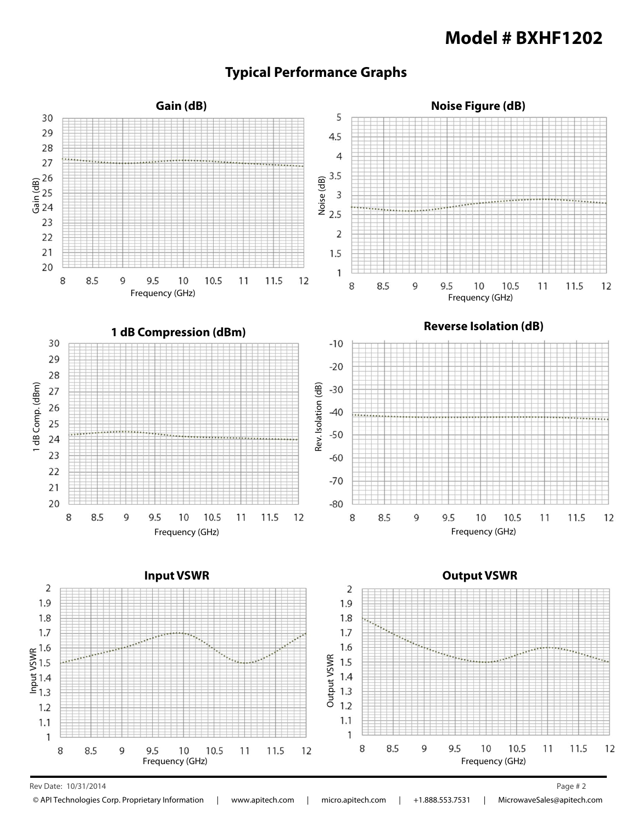## **Model # BXHF1202**

## **Typical Performance Graphs**